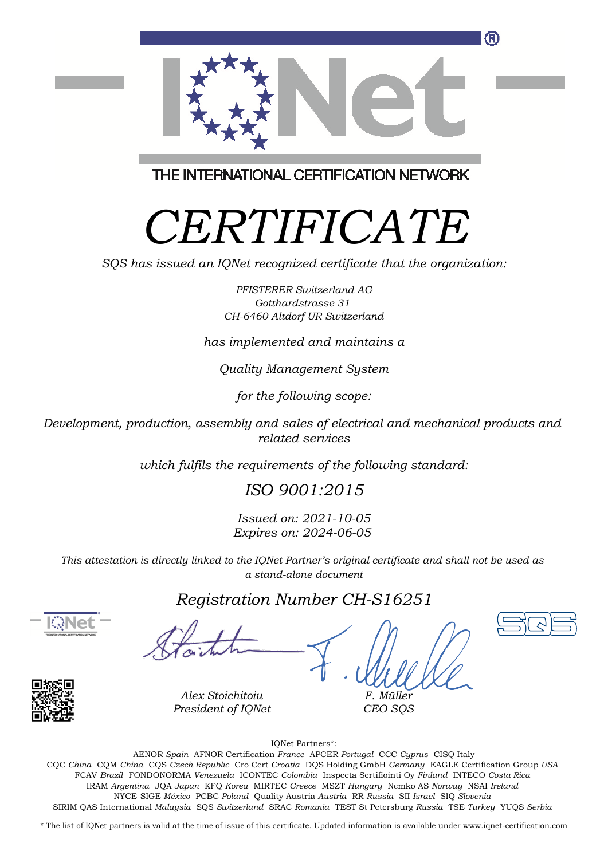

THE INTERNATIONAL CERTIFICATION NETWORK

# *CERTIFICATE*

*SQS has issued an IQNet recognized certificate that the organization:*

*PFISTERER Switzerland AG Gotthardstrasse 31 CH-6460 Altdorf UR Switzerland*

*has implemented and maintains a*

*Quality Management System*

*for the following scope:*

*Development, production, assembly and sales of electrical and mechanical products and related services*

*which fulfils the requirements of the following standard:*

### *ISO 9001:2015*

*Issued on: 2021-10-05 Expires on: 2024-06-05*

*This attestation is directly linked to the IQNet Partner's original certificate and shall not be used as a stand-alone document*

#### *Registration Number CH-S16251*







*F. Müller CEO SQS*

IQNet Partners\*:

This annex is only valid in connection with the above-mentioned certificate. FCAV *Brazil* FONDONORMA *Venezuela* ICONTEC *Colombia* Inspecta Sertifiointi Oy *Finland* INTECO *Costa Rica* AENOR *Spain* AFNOR Certification *France* APCER *Portugal* CCC *Cyprus* CISQ Italy CQC *China* CQM *China* CQS *Czech Republic* Cro Cert *Croatia* DQS Holding GmbH *Germany* EAGLE Certification Group *USA* IRAM *Argentina* JQA *Japan* KFQ *Korea* MIRTEC *Greece* MSZT *Hungary* Nemko AS *Norway* NSAI *Ireland* NYCE-SIGE *México* PCBC *Poland* Quality Austria *Austria* RR *Russia* SII *Israel* SIQ *Slovenia* SIRIM QAS International *Malaysia* SQS *Switzerland* SRAC *Romania* TEST St Petersburg *Russia* TSE *Turkey* YUQS *Serbia*

\* The list of IQNet partners is valid at the time of issue of this certificate. Updated information is available under www.iqnet-certification.com

*Alex Stoichitoiu President of IQNet*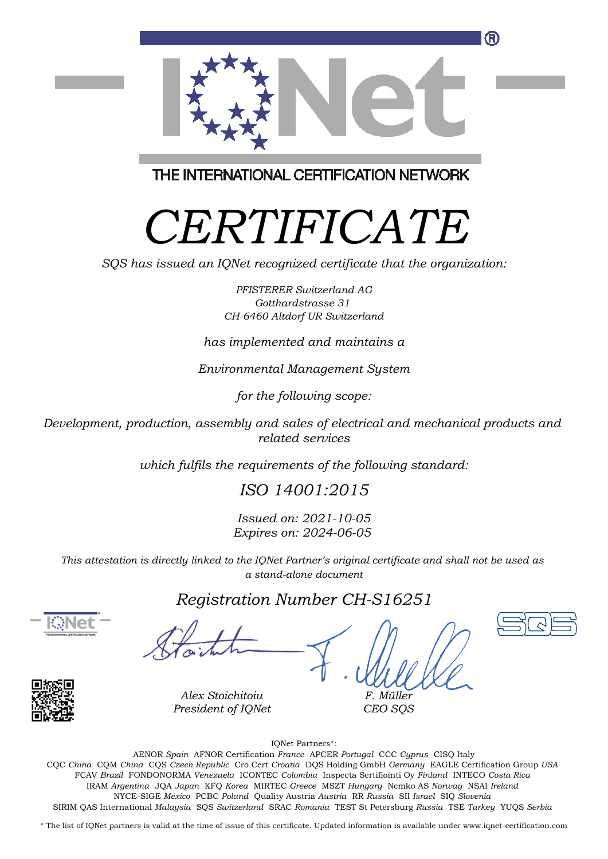

THE INTERNATIONAL CERTIFICATION NETWORK

# *CERTIFICATE*

*SQS has issued an IQNet recognized certificate that the organization:*

*PFISTERER Switzerland AG Gotthardstrasse 31 CH-6460 Altdorf UR Switzerland*

*has implemented and maintains a*

*Environmental Management System*

*for the following scope:*

*Development, production, assembly and sales of electrical and mechanical products and related services*

*which fulfils the requirements of the following standard:*

## *ISO 14001:2015*

*Issued on: 2021-10-05 Expires on: 2024-06-05*

*This attestation is directly linked to the IQNet Partner's original certificate and shall not be used as a stand-alone document*

#### *Registration Number CH-S16251*





*Alex Stoichitoiu President of IQNet*

*F. Müller CEO SQS*

IQNet Partners\*:

This annex is only valid in connection with the above-mentioned certificate. FCAV *Brazil* FONDONORMA *Venezuela* ICONTEC *Colombia* Inspecta Sertifiointi Oy *Finland* INTECO *Costa Rica* AENOR *Spain* AFNOR Certification *France* APCER *Portugal* CCC *Cyprus* CISQ Italy CQC *China* CQM *China* CQS *Czech Republic* Cro Cert *Croatia* DQS Holding GmbH *Germany* EAGLE Certification Group *USA* IRAM *Argentina* JQA *Japan* KFQ *Korea* MIRTEC *Greece* MSZT *Hungary* Nemko AS *Norway* NSAI *Ireland* NYCE-SIGE *México* PCBC *Poland* Quality Austria *Austria* RR *Russia* SII *Israel* SIQ *Slovenia* SIRIM QAS International *Malaysia* SQS *Switzerland* SRAC *Romania* TEST St Petersburg *Russia* TSE *Turkey* YUQS *Serbia*

\* The list of IQNet partners is valid at the time of issue of this certificate. Updated information is available under www.iqnet-certification.com